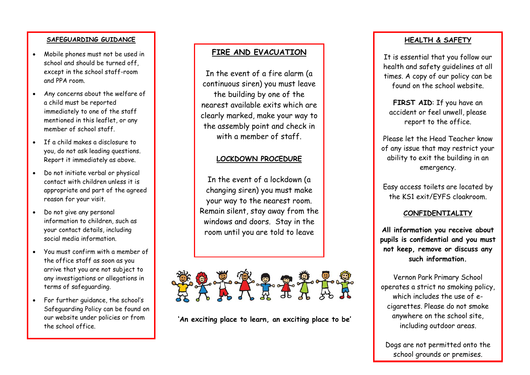#### **SAFEGUARDING GUIDANCE**

- Mobile phones must not be used in school and should be turned off except in the school staff-room and PPA room.
- Any concerns about the welfare of a child must be reported immediately to one of the staff mentioned in this leaflet, or any member of school staff.
- If a child makes a disclosure to you, do not ask leading questions. Report it immediately as above.
- Do not initiate verbal or physical contact with children unless it is appropriate and part of the agreed reason for your visit.
- Do not give any personal information to children, such as your contact details, including social media information.
- You must confirm with a member of the office staff as soon as you arrive that you are not subject to any investigations or allegations in terms of safeguarding.
- For further guidance, the school's Safeguarding Policy can be found on our website under policies or from the school office.

## **FIRE AND EVACUATION**

In the event of a fire alarm (a continuous siren) you must leave the building by one of the nearest available exits which are clearly marked, make your way to the assembly point and check in with a member of staff.

### **LOCKDOWN PROCEDURE**

In the event of a lockdown (a changing siren) you must make your way to the nearest room. Remain silent, stay away from the windows and doors. Stay in the room until you are told to leave



**'An exciting place to learn, an exciting place to be'**

#### **HEALTH & SAFETY**

It is essential that you follow our health and safety guidelines at all times. A copy of our policy can be found on the school website.

**FIRST AID**: If you have an accident or feel unwell, please report to the office.

Please let the Head Teacher know of any issue that may restrict your ability to exit the building in an emergency.

Easy access toilets are located by the KS1 exit/EYFS cloakroom.

### **CONFIDENTIALITY**

**All information you receive about pupils is confidential and you must not keep, remove or discuss any such information.**

Vernon Park Primary School operates a strict no smoking policy, which includes the use of ecigarettes. Please do not smoke anywhere on the school site, including outdoor areas.

Dogs are not permitted onto the school grounds or premises.